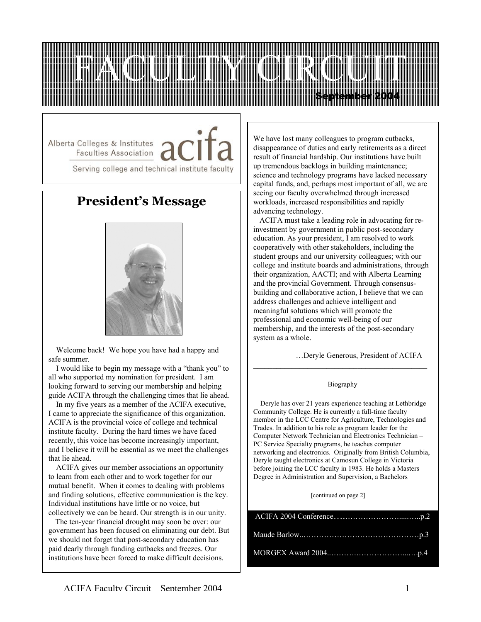

Alberta Colleges & Institutes , **Faculties Association** 

Serving college and technical institute faculty

# **President's Message**



 Welcome back! We hope you have had a happy and safe summer.

 I would like to begin my message with a "thank you" to all who supported my nomination for president. I am looking forward to serving our membership and helping guide ACIFA through the challenging times that lie ahead.

 In my five years as a member of the ACIFA executive, I came to appreciate the significance of this organization. ACIFA is the provincial voice of college and technical institute faculty. During the hard times we have faced recently, this voice has become increasingly important, and I believe it will be essential as we meet the challenges that lie ahead.

 ACIFA gives our member associations an opportunity to learn from each other and to work together for our mutual benefit. When it comes to dealing with problems and finding solutions, effective communication is the key. Individual institutions have little or no voice, but collectively we can be heard. Our strength is in our unity.

 The ten-year financial drought may soon be over: our government has been focused on eliminating our debt. But we should not forget that post-secondary education has paid dearly through funding cutbacks and freezes. Our institutions have been forced to make difficult decisions.

We have lost many colleagues to program cutbacks, disappearance of duties and early retirements as a direct result of financial hardship. Our institutions have built up tremendous backlogs in building maintenance; science and technology programs have lacked necessary capital funds, and, perhaps most important of all, we are seeing our faculty overwhelmed through increased workloads, increased responsibilities and rapidly advancing technology.

 ACIFA must take a leading role in advocating for reinvestment by government in public post-secondary education. As your president, I am resolved to work cooperatively with other stakeholders, including the student groups and our university colleagues; with our college and institute boards and administrations, through their organization, AACTI; and with Alberta Learning and the provincial Government. Through consensusbuilding and collaborative action, I believe that we can address challenges and achieve intelligent and meaningful solutions which will promote the professional and economic well-being of our membership, and the interests of the post-secondary system as a whole.

…Deryle Generous, President of ACIFA

#### Biography

 $\mathcal{L}_\text{max}$  and the contract of the contract of the contract of the contract of the contract of the contract of the contract of the contract of the contract of the contract of the contract of the contract of the contrac

 Deryle has over 21 years experience teaching at Lethbridge Community College. He is currently a full-time faculty member in the LCC Centre for Agriculture, Technologies and Trades. In addition to his role as program leader for the Computer Network Technician and Electronics Technician – PC Service Specialty programs, he teaches computer networking and electronics. Originally from British Columbia, Deryle taught electronics at Camosun College in Victoria before joining the LCC faculty in 1983. He holds a Masters Degree in Administration and Supervision, a Bachelors

[continued on page 2]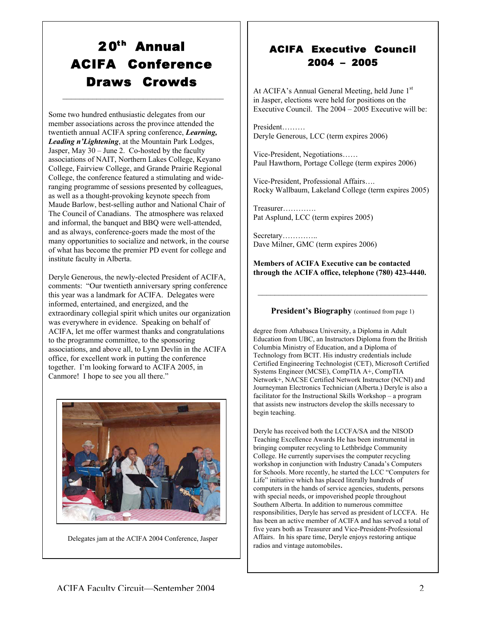# 20<sup>th</sup> Annual ACIFA Conference Draws Crowds

 $\mathcal{L}_\text{max} = \mathcal{L}_\text{max} = \mathcal{L}_\text{max} = \mathcal{L}_\text{max} = \mathcal{L}_\text{max} = \mathcal{L}_\text{max}$ 

Some two hundred enthusiastic delegates from our member associations across the province attended the twentieth annual ACIFA spring conference, *Learning, Leading n'Lightening*, at the Mountain Park Lodges, Jasper, May 30 – June 2. Co-hosted by the faculty associations of NAIT, Northern Lakes College, Keyano College, Fairview College, and Grande Prairie Regional College, the conference featured a stimulating and wideranging programme of sessions presented by colleagues, as well as a thought-provoking keynote speech from Maude Barlow, best-selling author and National Chair of The Council of Canadians. The atmosphere was relaxed and informal, the banquet and BBQ were well-attended, and as always, conference-goers made the most of the many opportunities to socialize and network, in the course of what has become the premier PD event for college and institute faculty in Alberta.

Deryle Generous, the newly-elected President of ACIFA, comments: "Our twentieth anniversary spring conference this year was a landmark for ACIFA. Delegates were informed, entertained, and energized, and the extraordinary collegial spirit which unites our organization was everywhere in evidence. Speaking on behalf of ACIFA, let me offer warmest thanks and congratulations to the programme committee, to the sponsoring associations, and above all, to Lynn Devlin in the ACIFA office, for excellent work in putting the conference together. I'm looking forward to ACIFA 2005, in Canmore! I hope to see you all there."



Delegates jam at the ACIFA 2004 Conference, Jasper

### ACIFA Executive Council 2004 – 2005

At ACIFA's Annual General Meeting, held June 1<sup>st</sup> in Jasper, elections were held for positions on the Executive Council. The 2004 – 2005 Executive will be:

President……… Deryle Generous, LCC (term expires 2006)

Vice-President, Negotiations…… Paul Hawthorn, Portage College (term expires 2006)

Vice-President, Professional Affairs…. Rocky Wallbaum, Lakeland College (term expires 2005)

Treasurer…………. Pat Asplund, LCC (term expires 2005)

Secretary………….. Dave Milner, GMC (term expires 2006)

Members of ACIFA Executive can be contacted through the ACIFA office, telephone (780) 423-4440.

#### President's Biography (continued from page 1)

 $\mathcal{L}_\text{max} = \mathcal{L}_\text{max} = \mathcal{L}_\text{max} = \mathcal{L}_\text{max} = \mathcal{L}_\text{max}$ 

degree from Athabasca University, a Diploma in Adult Education from UBC, an Instructors Diploma from the British Columbia Ministry of Education, and a Diploma of Technology from BCIT. His industry credentials include Certified Engineering Technologist (CET), Microsoft Certified Systems Engineer (MCSE), CompTIA A+, CompTIA Network+, NACSE Certified Network Instructor (NCNI) and Journeyman Electronics Technician (Alberta.) Deryle is also a facilitator for the Instructional Skills Workshop – a program that assists new instructors develop the skills necessary to begin teaching.

Deryle has received both the LCCFA/SA and the NISOD Teaching Excellence Awards He has been instrumental in bringing computer recycling to Lethbridge Community College. He currently supervises the computer recycling workshop in conjunction with Industry Canada's Computers for Schools. More recently, he started the LCC "Computers for Life" initiative which has placed literally hundreds of computers in the hands of service agencies, students, persons with special needs, or impoverished people throughout Southern Alberta. In addition to numerous committee responsibilities, Deryle has served as president of LCCFA. He has been an active member of ACIFA and has served a total of five years both as Treasurer and Vice-President-Professional Affairs. In his spare time, Deryle enjoys restoring antique radios and vintage automobiles.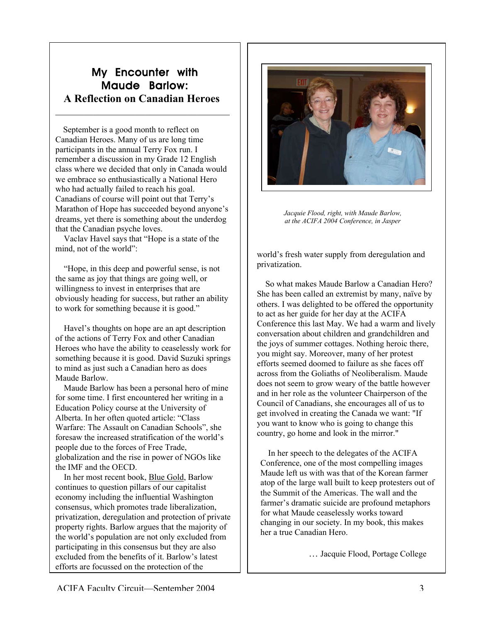## My Encounter with Maude Barlow: A Reflection on Canadian Heroes

 $\mathcal{L}_\text{max}$ 

 September is a good month to reflect on Canadian Heroes. Many of us are long time participants in the annual Terry Fox run. I remember a discussion in my Grade 12 English class where we decided that only in Canada would we embrace so enthusiastically a National Hero who had actually failed to reach his goal. Canadians of course will point out that Terry's Marathon of Hope has succeeded beyond anyone's dreams, yet there is something about the underdog that the Canadian psyche loves.

 Vaclav Havel says that "Hope is a state of the mind, not of the world":

 "Hope, in this deep and powerful sense, is not the same as joy that things are going well, or willingness to invest in enterprises that are obviously heading for success, but rather an ability to work for something because it is good."

 Havel's thoughts on hope are an apt description of the actions of Terry Fox and other Canadian Heroes who have the ability to ceaselessly work for something because it is good. David Suzuki springs to mind as just such a Canadian hero as does Maude Barlow.

 Maude Barlow has been a personal hero of mine for some time. I first encountered her writing in a Education Policy course at the University of Alberta. In her often quoted article: "Class Warfare: The Assault on Canadian Schools", she foresaw the increased stratification of the world's people due to the forces of Free Trade, globalization and the rise in power of NGOs like the IMF and the OECD.

 In her most recent book, Blue Gold, Barlow continues to question pillars of our capitalist economy including the influential Washington consensus, which promotes trade liberalization, privatization, deregulation and protection of private property rights. Barlow argues that the majority of the world's population are not only excluded from participating in this consensus but they are also excluded from the benefits of it. Barlow's latest efforts are focussed on the protection of the



 *Jacquie Flood, right, with Maude Barlow, at the ACIFA 2004 Conference, in Jasper*

world's fresh water supply from deregulation and privatization.

 So what makes Maude Barlow a Canadian Hero? She has been called an extremist by many, naïve by others. I was delighted to be offered the opportunity to act as her guide for her day at the ACIFA Conference this last May. We had a warm and lively conversation about children and grandchildren and the joys of summer cottages. Nothing heroic there, you might say. Moreover, many of her protest efforts seemed doomed to failure as she faces off across from the Goliaths of Neoliberalism. Maude does not seem to grow weary of the battle however and in her role as the volunteer Chairperson of the Council of Canadians, she encourages all of us to get involved in creating the Canada we want: "If you want to know who is going to change this country, go home and look in the mirror."

 In her speech to the delegates of the ACIFA Conference, one of the most compelling images Maude left us with was that of the Korean farmer atop of the large wall built to keep protesters out of the Summit of the Americas. The wall and the farmer's dramatic suicide are profound metaphors for what Maude ceaselessly works toward changing in our society. In my book, this makes her a true Canadian Hero.

… Jacquie Flood, Portage College